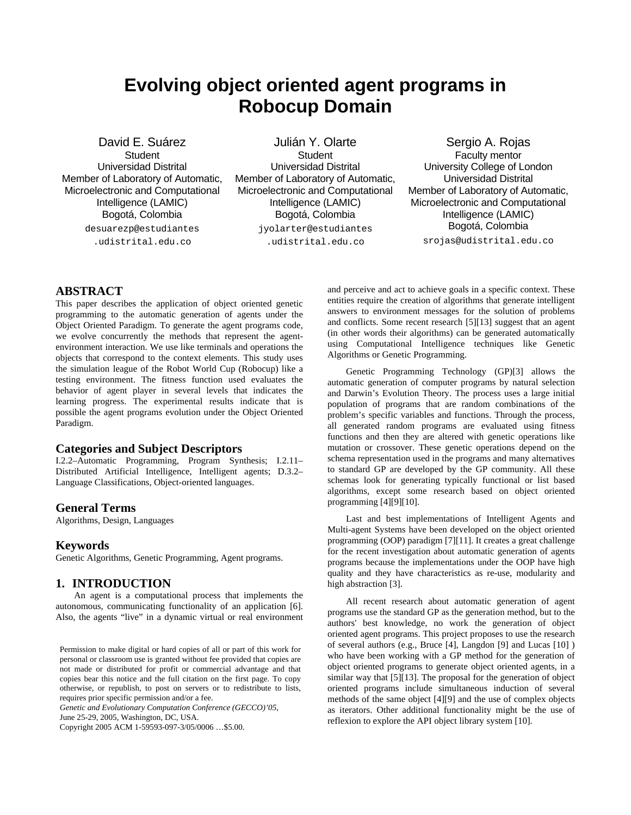# **Evolving object oriented agent programs in Robocup Domain**

David E. Suárez **Student** Universidad Distrital Member of Laboratory of Automatic, Microelectronic and Computational Intelligence (LAMIC) Bogotá, Colombia

> desuarezp@estudiantes .udistrital.edu.co

Julián Y. Olarte **Student** Universidad Distrital Member of Laboratory of Automatic, Microelectronic and Computational Intelligence (LAMIC) Bogotá, Colombia

jyolarter@estudiantes .udistrital.edu.co

Sergio A. Rojas Faculty mentor University College of London Universidad Distrital Member of Laboratory of Automatic, Microelectronic and Computational Intelligence (LAMIC) Bogotá, Colombia

srojas@udistrital.edu.co

# **ABSTRACT**

This paper describes the application of object oriented genetic programming to the automatic generation of agents under the Object Oriented Paradigm. To generate the agent programs code, we evolve concurrently the methods that represent the agentenvironment interaction. We use like terminals and operations the objects that correspond to the context elements. This study uses the simulation league of the Robot World Cup (Robocup) like a testing environment. The fitness function used evaluates the behavior of agent player in several levels that indicates the learning progress. The experimental results indicate that is possible the agent programs evolution under the Object Oriented Paradigm.

# **Categories and Subject Descriptors**

I.2.2–Automatic Programming, Program Synthesis; I.2.11– Distributed Artificial Intelligence, Intelligent agents; D.3.2– Language Classifications, Object-oriented languages.

### **General Terms**

Algorithms, Design, Languages

#### **Keywords**

Genetic Algorithms, Genetic Programming, Agent programs.

### **1. INTRODUCTION**

An agent is a computational process that implements the autonomous, communicating functionality of an application [6]. Also, the agents "live" in a dynamic virtual or real environment

*Genetic and Evolutionary Computation Conference (GECCO)'05*,

June 25-29, 2005, Washington, DC, USA.

Copyright 2005 ACM 1-59593-097-3/05/0006 …\$5.00.

and perceive and act to achieve goals in a specific context. These entities require the creation of algorithms that generate intelligent answers to environment messages for the solution of problems and conflicts. Some recent research [5][13] suggest that an agent (in other words their algorithms) can be generated automatically using Computational Intelligence techniques like Genetic Algorithms or Genetic Programming.

Genetic Programming Technology (GP)[3] allows the automatic generation of computer programs by natural selection and Darwin's Evolution Theory. The process uses a large initial population of programs that are random combinations of the problem's specific variables and functions. Through the process, all generated random programs are evaluated using fitness functions and then they are altered with genetic operations like mutation or crossover. These genetic operations depend on the schema representation used in the programs and many alternatives to standard GP are developed by the GP community. All these schemas look for generating typically functional or list based algorithms, except some research based on object oriented programming [4][9][10].

Last and best implementations of Intelligent Agents and Multi-agent Systems have been developed on the object oriented programming (OOP) paradigm [7][11]. It creates a great challenge for the recent investigation about automatic generation of agents programs because the implementations under the OOP have high quality and they have characteristics as re-use, modularity and high abstraction [3].

All recent research about automatic generation of agent programs use the standard GP as the generation method, but to the authors' best knowledge, no work the generation of object oriented agent programs. This project proposes to use the research of several authors (e.g., Bruce [4], Langdon [9] and Lucas [10] ) who have been working with a GP method for the generation of object oriented programs to generate object oriented agents, in a similar way that [5][13]. The proposal for the generation of object oriented programs include simultaneous induction of several methods of the same object [4][9] and the use of complex objects as iterators. Other additional functionality might be the use of reflexion to explore the API object library system [10].

Permission to make digital or hard copies of all or part of this work for personal or classroom use is granted without fee provided that copies are not made or distributed for profit or commercial advantage and that copies bear this notice and the full citation on the first page. To copy otherwise, or republish, to post on servers or to redistribute to lists, requires prior specific permission and/or a fee.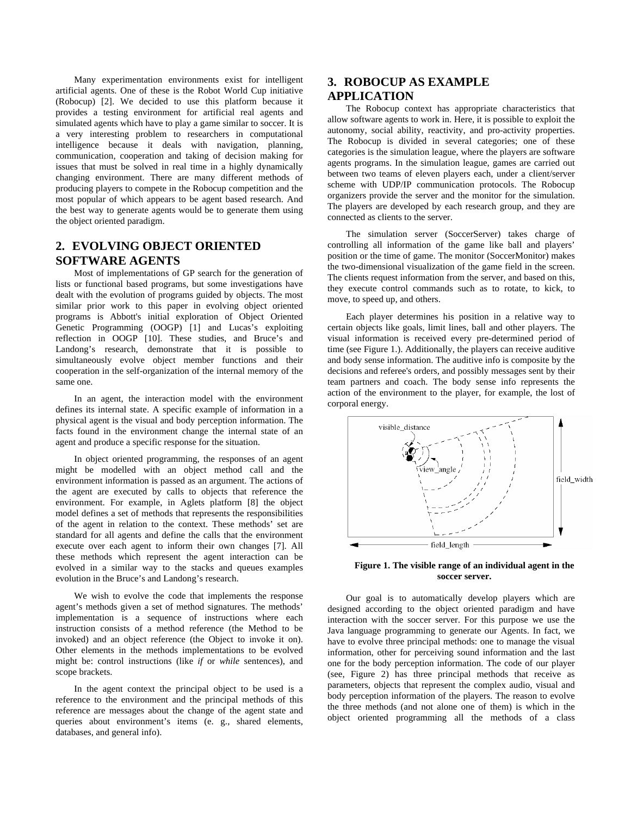Many experimentation environments exist for intelligent artificial agents. One of these is the Robot World Cup initiative (Robocup) [2]. We decided to use this platform because it provides a testing environment for artificial real agents and simulated agents which have to play a game similar to soccer. It is a very interesting problem to researchers in computational intelligence because it deals with navigation, planning, communication, cooperation and taking of decision making for issues that must be solved in real time in a highly dynamically changing environment. There are many different methods of producing players to compete in the Robocup competition and the most popular of which appears to be agent based research. And the best way to generate agents would be to generate them using the object oriented paradigm.

# **2. EVOLVING OBJECT ORIENTED SOFTWARE AGENTS**

Most of implementations of GP search for the generation of lists or functional based programs, but some investigations have dealt with the evolution of programs guided by objects. The most similar prior work to this paper in evolving object oriented programs is Abbott's initial exploration of Object Oriented Genetic Programming (OOGP) [1] and Lucas's exploiting reflection in OOGP [10]. These studies, and Bruce's and Landong's research, demonstrate that it is possible to simultaneously evolve object member functions and their cooperation in the self-organization of the internal memory of the same one.

In an agent, the interaction model with the environment defines its internal state. A specific example of information in a physical agent is the visual and body perception information. The facts found in the environment change the internal state of an agent and produce a specific response for the situation.

In object oriented programming, the responses of an agent might be modelled with an object method call and the environment information is passed as an argument. The actions of the agent are executed by calls to objects that reference the environment. For example, in Aglets platform [8] the object model defines a set of methods that represents the responsibilities of the agent in relation to the context. These methods' set are standard for all agents and define the calls that the environment execute over each agent to inform their own changes [7]. All these methods which represent the agent interaction can be evolved in a similar way to the stacks and queues examples evolution in the Bruce's and Landong's research.

We wish to evolve the code that implements the response agent's methods given a set of method signatures. The methods' implementation is a sequence of instructions where each instruction consists of a method reference (the Method to be invoked) and an object reference (the Object to invoke it on). Other elements in the methods implementations to be evolved might be: control instructions (like *if* or *while* sentences), and scope brackets.

In the agent context the principal object to be used is a reference to the environment and the principal methods of this reference are messages about the change of the agent state and queries about environment's items (e. g., shared elements, databases, and general info).

# **3. ROBOCUP AS EXAMPLE APPLICATION**

The Robocup context has appropriate characteristics that allow software agents to work in. Here, it is possible to exploit the autonomy, social ability, reactivity, and pro-activity properties. The Robocup is divided in several categories; one of these categories is the simulation league, where the players are software agents programs. In the simulation league, games are carried out between two teams of eleven players each, under a client/server scheme with UDP/IP communication protocols. The Robocup organizers provide the server and the monitor for the simulation. The players are developed by each research group, and they are connected as clients to the server.

The simulation server (SoccerServer) takes charge of controlling all information of the game like ball and players' position or the time of game. The monitor (SoccerMonitor) makes the two-dimensional visualization of the game field in the screen. The clients request information from the server, and based on this, they execute control commands such as to rotate, to kick, to move, to speed up, and others.

Each player determines his position in a relative way to certain objects like goals, limit lines, ball and other players. The visual information is received every pre-determined period of time (see Figure 1.). Additionally, the players can receive auditive and body sense information. The auditive info is composite by the decisions and referee's orders, and possibly messages sent by their team partners and coach. The body sense info represents the action of the environment to the player, for example, the lost of corporal energy.



**Figure 1. The visible range of an individual agent in the soccer server.** 

Our goal is to automatically develop players which are designed according to the object oriented paradigm and have interaction with the soccer server. For this purpose we use the Java language programming to generate our Agents. In fact, we have to evolve three principal methods: one to manage the visual information, other for perceiving sound information and the last one for the body perception information. The code of our player (see, Figure 2) has three principal methods that receive as parameters, objects that represent the complex audio, visual and body perception information of the players. The reason to evolve the three methods (and not alone one of them) is which in the object oriented programming all the methods of a class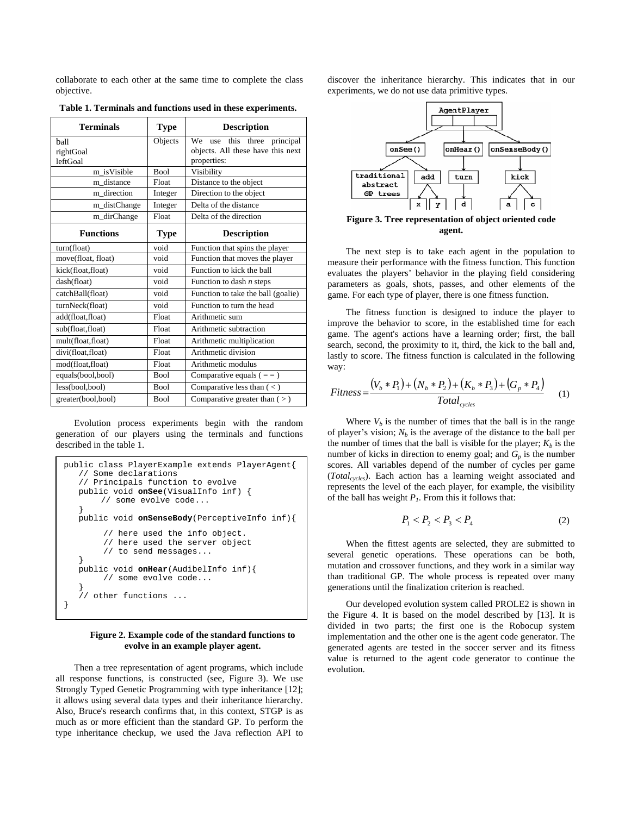collaborate to each other at the same time to complete the class objective.

| <b>Terminals</b>   | <b>Type</b> | <b>Description</b>                      |
|--------------------|-------------|-----------------------------------------|
| <b>ball</b>        | Objects     | We<br>this<br>three<br>principal<br>use |
| rightGoal          |             | objects. All these have this next       |
| leftGoal           |             | properties:                             |
| m isVisible        | <b>Bool</b> | Visibility                              |
| m distance         | Float       | Distance to the object                  |
| m_direction        | Integer     | Direction to the object                 |
| m_distChange       | Integer     | Delta of the distance                   |
| m_dirChange        | Float       | Delta of the direction                  |
| <b>Functions</b>   | <b>Type</b> | <b>Description</b>                      |
| turn(float)        | void        | Function that spins the player          |
| move(float, float) | void        | Function that moves the player          |
| kick(float,float)  | void        | Function to kick the ball               |
| dash(float)        | void        | Function to dash $n$ steps              |
| catchBall(float)   | void        | Function to take the ball (goalie)      |
| turnNeck(float)    | void        | Function to turn the head               |
| add(float,float)   | Float       | Arithmetic sum                          |
| sub(float,float)   | Float       | Arithmetic subtraction                  |
| mult(float,float)  | Float       | Arithmetic multiplication               |
| divi(float, float) | Float       | Arithmetic division                     |
| mod(float,float)   | Float       | Arithmetic modulus                      |
| equals(bool,bool)  | <b>Bool</b> | Comparative equals $( == )$             |
| less(bool,bool)    | <b>Bool</b> | Comparative less than $(<)$             |
| greater(bool,bool) | Bool        | Comparative greater than $(>)$          |

**Table 1. Terminals and functions used in these experiments.**

Evolution process experiments begin with the random generation of our players using the terminals and functions described in the table 1.

```
public class PlayerExample extends PlayerAgent{ 
 // Some declarations 
 // Principals function to evolve 
    public void onSee(VisualInfo inf) { 
        // some evolve code... 
    } 
    public void onSenseBody(PerceptiveInfo inf){ 
         // here used the info object. 
         // here used the server object 
         // to send messages... 
 } 
    public void onHear(AudibelInfo inf){ 
         // some evolve code... 
 } 
   .<br>// other functions ...
}
```
#### **Figure 2. Example code of the standard functions to evolve in an example player agent.**

Then a tree representation of agent programs, which include all response functions, is constructed (see, Figure 3). We use Strongly Typed Genetic Programming with type inheritance [12]; it allows using several data types and their inheritance hierarchy. Also, Bruce's research confirms that, in this context, STGP is as much as or more efficient than the standard GP. To perform the type inheritance checkup, we used the Java reflection API to discover the inheritance hierarchy. This indicates that in our experiments, we do not use data primitive types.



**Figure 3. Tree representation of object oriented code agent.** 

The next step is to take each agent in the population to measure their performance with the fitness function. This function evaluates the players' behavior in the playing field considering parameters as goals, shots, passes, and other elements of the game. For each type of player, there is one fitness function.

The fitness function is designed to induce the player to improve the behavior to score, in the established time for each game. The agent's actions have a learning order; first, the ball search, second, the proximity to it, third, the kick to the ball and, lastly to score. The fitness function is calculated in the following way:

$$
Fitness = \frac{(V_b * P_1) + (N_b * P_2) + (K_b * P_3) + (G_p * P_4)}{Total_{cycles}} \tag{1}
$$

Where  $V_b$  is the number of times that the ball is in the range of player's vision;  $N_b$  is the average of the distance to the ball per the number of times that the ball is visible for the player;  $K<sub>b</sub>$  is the number of kicks in direction to enemy goal; and  $G_p$  is the number scores. All variables depend of the number of cycles per game (*Totalcycles*). Each action has a learning weight associated and represents the level of the each player, for example, the visibility of the ball has weight  $P<sub>l</sub>$ . From this it follows that:

$$
P_1 < P_2 < P_3 < P_4 \tag{2}
$$

When the fittest agents are selected, they are submitted to several genetic operations. These operations can be both, mutation and crossover functions, and they work in a similar way than traditional GP. The whole process is repeated over many generations until the finalization criterion is reached.

Our developed evolution system called PROLE2 is shown in the Figure 4. It is based on the model described by [13]. It is divided in two parts; the first one is the Robocup system implementation and the other one is the agent code generator. The generated agents are tested in the soccer server and its fitness value is returned to the agent code generator to continue the evolution.